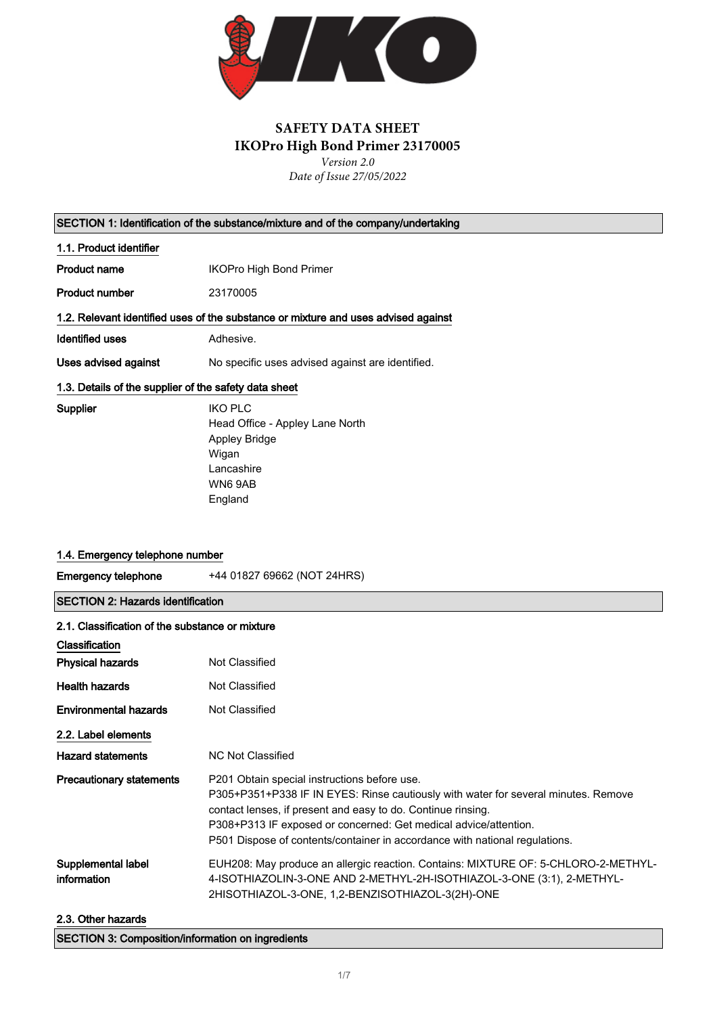

# **SAFETY DATA SHEET IKOPro High Bond Primer 23170005** *Version 2.0*

*Date of Issue 27/05/2022*

SECTION 1: Identification of the substance/mixture and of the company/undertaking

1.1. Product identifier

Product name **IKOPro High Bond Primer** 

Product number 23170005

1.2. Relevant identified uses of the substance or mixture and uses advised against

Identified uses **Adhesive.** 

Uses advised against No specific uses advised against are identified.

#### 1.3. Details of the supplier of the safety data sheet

Supplier IKO PLC Head Office - Appley Lane North Appley Bridge Wigan Lancashire WN6 9AB England

### 1.4. Emergency telephone number

Emergency telephone +44 01827 69662 (NOT 24HRS)

SECTION 2: Hazards identification

| 2.1. Classification of the substance or mixture |                                                                                                                                                                                                                                                                                                                                                       |
|-------------------------------------------------|-------------------------------------------------------------------------------------------------------------------------------------------------------------------------------------------------------------------------------------------------------------------------------------------------------------------------------------------------------|
| <b>Classification</b>                           |                                                                                                                                                                                                                                                                                                                                                       |
| <b>Physical hazards</b>                         | Not Classified                                                                                                                                                                                                                                                                                                                                        |
| <b>Health hazards</b>                           | Not Classified                                                                                                                                                                                                                                                                                                                                        |
| <b>Environmental hazards</b>                    | Not Classified                                                                                                                                                                                                                                                                                                                                        |
| 2.2. Label elements                             |                                                                                                                                                                                                                                                                                                                                                       |
| <b>Hazard statements</b>                        | <b>NC Not Classified</b>                                                                                                                                                                                                                                                                                                                              |
| <b>Precautionary statements</b>                 | P201 Obtain special instructions before use.<br>P305+P351+P338 IF IN EYES: Rinse cautiously with water for several minutes. Remove<br>contact lenses, if present and easy to do. Continue rinsing.<br>P308+P313 IF exposed or concerned: Get medical advice/attention.<br>P501 Dispose of contents/container in accordance with national regulations. |
| Supplemental label<br>information               | EUH208: May produce an allergic reaction. Contains: MIXTURE OF: 5-CHLORO-2-METHYL-<br>4-ISOTHIAZOLIN-3-ONE AND 2-METHYL-2H-ISOTHIAZOL-3-ONE (3:1), 2-METHYL-<br>2HISOTHIAZOL-3-ONE, 1,2-BENZISOTHIAZOL-3(2H)-ONE                                                                                                                                      |
| 2.3. Other hazards                              |                                                                                                                                                                                                                                                                                                                                                       |

SECTION 3: Composition/information on ingredients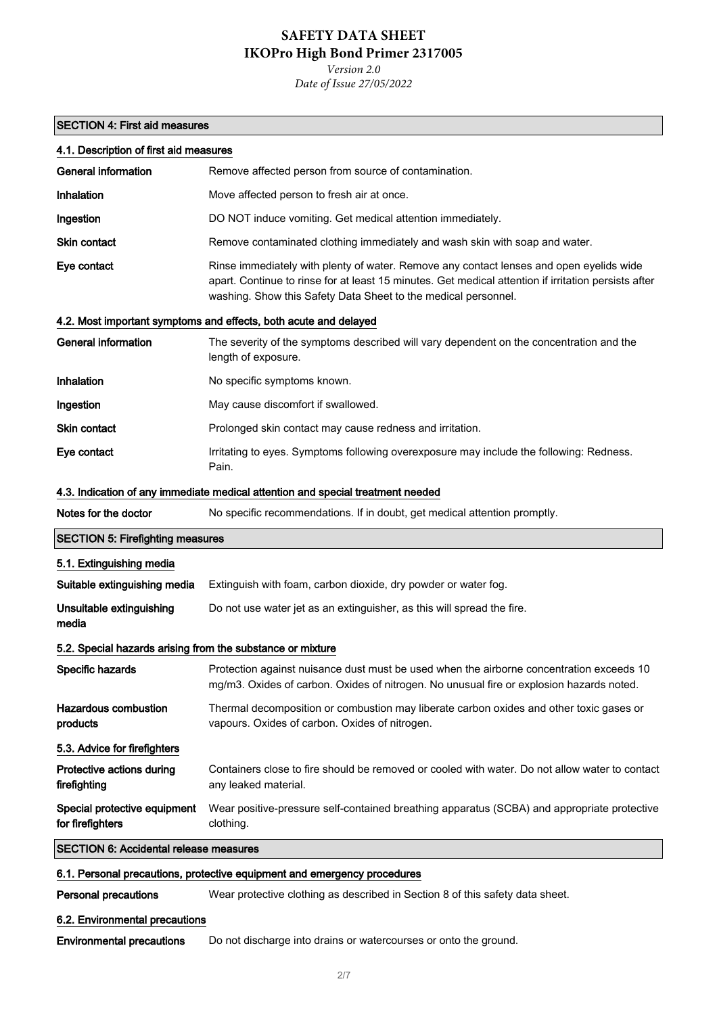*Version 2.0 Date of Issue 27/05/2022*

## SECTION 4: First aid measures

| 4.1. Description of first aid measures                                   |                                                                                                                                                                                                                                                                   |
|--------------------------------------------------------------------------|-------------------------------------------------------------------------------------------------------------------------------------------------------------------------------------------------------------------------------------------------------------------|
| <b>General information</b>                                               | Remove affected person from source of contamination.                                                                                                                                                                                                              |
| Inhalation                                                               | Move affected person to fresh air at once.                                                                                                                                                                                                                        |
| Ingestion                                                                | DO NOT induce vomiting. Get medical attention immediately.                                                                                                                                                                                                        |
| <b>Skin contact</b>                                                      | Remove contaminated clothing immediately and wash skin with soap and water.                                                                                                                                                                                       |
| Eye contact                                                              | Rinse immediately with plenty of water. Remove any contact lenses and open eyelids wide<br>apart. Continue to rinse for at least 15 minutes. Get medical attention if irritation persists after<br>washing. Show this Safety Data Sheet to the medical personnel. |
|                                                                          | 4.2. Most important symptoms and effects, both acute and delayed                                                                                                                                                                                                  |
| <b>General information</b>                                               | The severity of the symptoms described will vary dependent on the concentration and the<br>length of exposure.                                                                                                                                                    |
| Inhalation                                                               | No specific symptoms known.                                                                                                                                                                                                                                       |
| Ingestion                                                                | May cause discomfort if swallowed.                                                                                                                                                                                                                                |
| <b>Skin contact</b>                                                      | Prolonged skin contact may cause redness and irritation.                                                                                                                                                                                                          |
| Eye contact                                                              | Irritating to eyes. Symptoms following overexposure may include the following: Redness.<br>Pain.                                                                                                                                                                  |
|                                                                          | 4.3. Indication of any immediate medical attention and special treatment needed                                                                                                                                                                                   |
| Notes for the doctor                                                     | No specific recommendations. If in doubt, get medical attention promptly.                                                                                                                                                                                         |
| <b>SECTION 5: Firefighting measures</b>                                  |                                                                                                                                                                                                                                                                   |
| 5.1. Extinguishing media                                                 |                                                                                                                                                                                                                                                                   |
| Suitable extinguishing media                                             | Extinguish with foam, carbon dioxide, dry powder or water fog.                                                                                                                                                                                                    |
| Unsuitable extinguishing<br>media                                        | Do not use water jet as an extinguisher, as this will spread the fire.                                                                                                                                                                                            |
| 5.2. Special hazards arising from the substance or mixture               |                                                                                                                                                                                                                                                                   |
| Specific hazards                                                         | Protection against nuisance dust must be used when the airborne concentration exceeds 10<br>mg/m3. Oxides of carbon. Oxides of nitrogen. No unusual fire or explosion hazards noted.                                                                              |
| <b>Hazardous combustion</b><br>products                                  | Thermal decomposition or combustion may liberate carbon oxides and other toxic gases or<br>vapours. Oxides of carbon. Oxides of nitrogen.                                                                                                                         |
| 5.3. Advice for firefighters                                             |                                                                                                                                                                                                                                                                   |
| Protective actions during<br>firefighting                                | Containers close to fire should be removed or cooled with water. Do not allow water to contact<br>any leaked material.                                                                                                                                            |
| Special protective equipment<br>for firefighters                         | Wear positive-pressure self-contained breathing apparatus (SCBA) and appropriate protective<br>clothing.                                                                                                                                                          |
| <b>SECTION 6: Accidental release measures</b>                            |                                                                                                                                                                                                                                                                   |
| 6.1. Personal precautions, protective equipment and emergency procedures |                                                                                                                                                                                                                                                                   |
| <b>Personal precautions</b>                                              | Wear protective clothing as described in Section 8 of this safety data sheet.                                                                                                                                                                                     |
| 6.2. Environmental precautions                                           |                                                                                                                                                                                                                                                                   |

Environmental precautions Do not discharge into drains or watercourses or onto the ground.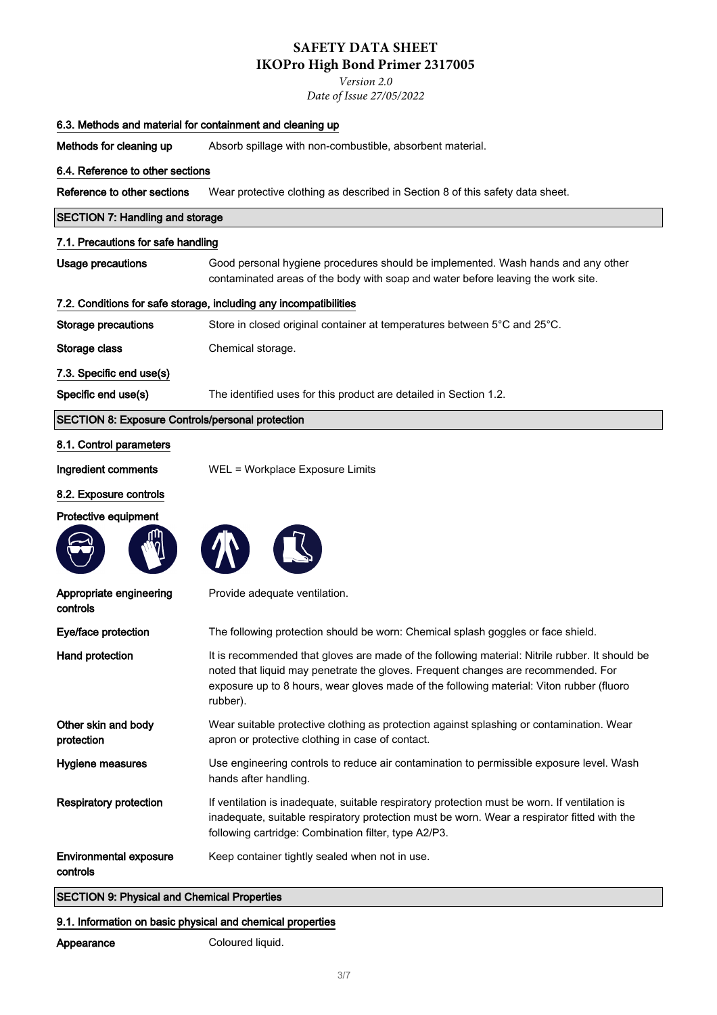*Version 2.0*

*Date of Issue 27/05/2022*

| 6.3. Methods and material for containment and cleaning up |                                                                                                                                                                                                                                                                                             |
|-----------------------------------------------------------|---------------------------------------------------------------------------------------------------------------------------------------------------------------------------------------------------------------------------------------------------------------------------------------------|
| Methods for cleaning up                                   | Absorb spillage with non-combustible, absorbent material.                                                                                                                                                                                                                                   |
| 6.4. Reference to other sections                          |                                                                                                                                                                                                                                                                                             |
| Reference to other sections                               | Wear protective clothing as described in Section 8 of this safety data sheet.                                                                                                                                                                                                               |
| <b>SECTION 7: Handling and storage</b>                    |                                                                                                                                                                                                                                                                                             |
| 7.1. Precautions for safe handling                        |                                                                                                                                                                                                                                                                                             |
| <b>Usage precautions</b>                                  | Good personal hygiene procedures should be implemented. Wash hands and any other<br>contaminated areas of the body with soap and water before leaving the work site.                                                                                                                        |
|                                                           | 7.2. Conditions for safe storage, including any incompatibilities                                                                                                                                                                                                                           |
| Storage precautions                                       | Store in closed original container at temperatures between 5°C and 25°C.                                                                                                                                                                                                                    |
| Storage class                                             | Chemical storage.                                                                                                                                                                                                                                                                           |
| 7.3. Specific end use(s)                                  |                                                                                                                                                                                                                                                                                             |
| Specific end use(s)                                       | The identified uses for this product are detailed in Section 1.2.                                                                                                                                                                                                                           |
| <b>SECTION 8: Exposure Controls/personal protection</b>   |                                                                                                                                                                                                                                                                                             |
| 8.1. Control parameters                                   |                                                                                                                                                                                                                                                                                             |
| Ingredient comments                                       | WEL = Workplace Exposure Limits                                                                                                                                                                                                                                                             |
| 8.2. Exposure controls                                    |                                                                                                                                                                                                                                                                                             |
| Protective equipment                                      |                                                                                                                                                                                                                                                                                             |
| Appropriate engineering<br>controls                       | Provide adequate ventilation.                                                                                                                                                                                                                                                               |
| Eye/face protection                                       | The following protection should be worn: Chemical splash goggles or face shield.                                                                                                                                                                                                            |
| Hand protection                                           | It is recommended that gloves are made of the following material: Nitrile rubber. It should be<br>noted that liquid may penetrate the gloves. Frequent changes are recommended. For<br>exposure up to 8 hours, wear gloves made of the following material: Viton rubber (fluoro<br>rubber). |
| Other skin and body<br>protection                         | Wear suitable protective clothing as protection against splashing or contamination. Wear<br>apron or protective clothing in case of contact.                                                                                                                                                |
| Hygiene measures                                          | Use engineering controls to reduce air contamination to permissible exposure level. Wash<br>hands after handling.                                                                                                                                                                           |
| <b>Respiratory protection</b>                             | If ventilation is inadequate, suitable respiratory protection must be worn. If ventilation is<br>inadequate, suitable respiratory protection must be worn. Wear a respirator fitted with the<br>following cartridge: Combination filter, type A2/P3.                                        |
| <b>Environmental exposure</b><br>controls                 | Keep container tightly sealed when not in use.                                                                                                                                                                                                                                              |
| <b>SECTION 9: Physical and Chemical Properties</b>        |                                                                                                                                                                                                                                                                                             |

## 9.1. Information on basic physical and chemical properties

Appearance Coloured liquid.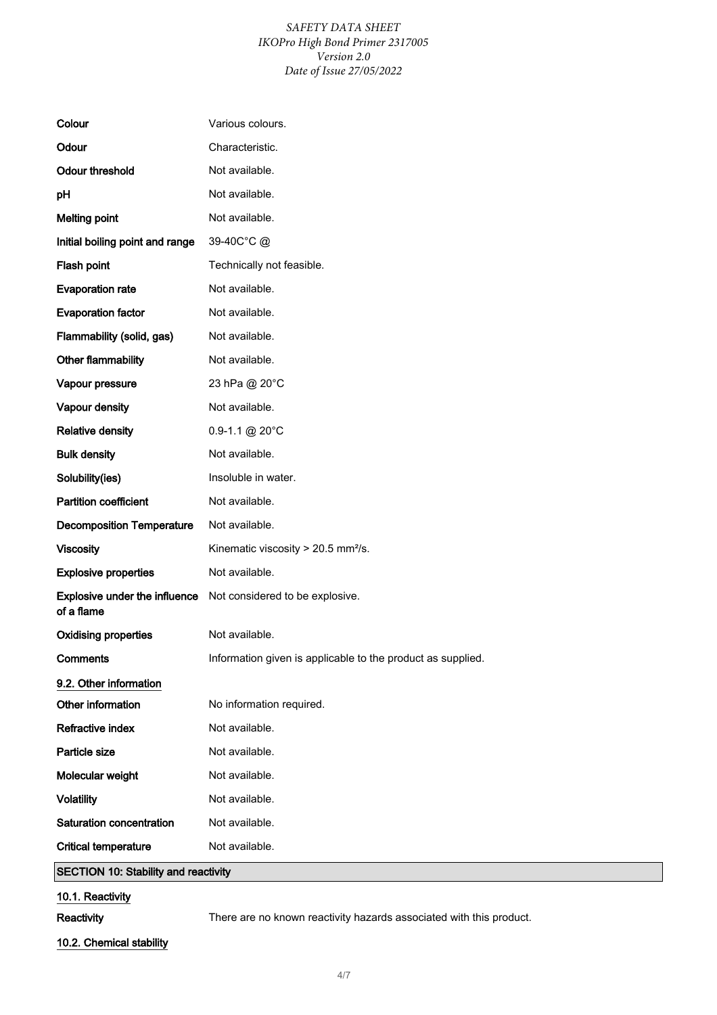### *SAFETY DATA SHEET IKOPro High Bond Primer 2317005 Version 2.0 Date of Issue 27/05/2022*

| Colour                                      | Various colours.                                            |
|---------------------------------------------|-------------------------------------------------------------|
| Odour                                       | Characteristic.                                             |
| <b>Odour threshold</b>                      | Not available.                                              |
| pH                                          | Not available.                                              |
| <b>Melting point</b>                        | Not available.                                              |
| Initial boiling point and range             | 39-40C°C@                                                   |
| Flash point                                 | Technically not feasible.                                   |
| <b>Evaporation rate</b>                     | Not available.                                              |
| <b>Evaporation factor</b>                   | Not available.                                              |
| Flammability (solid, gas)                   | Not available.                                              |
| Other flammability                          | Not available.                                              |
| Vapour pressure                             | 23 hPa @ 20°C                                               |
| Vapour density                              | Not available.                                              |
| <b>Relative density</b>                     | $0.9 - 1.1 \text{ @ } 20^{\circ}$ C                         |
| <b>Bulk density</b>                         | Not available.                                              |
| Solubility(ies)                             | Insoluble in water.                                         |
| <b>Partition coefficient</b>                | Not available.                                              |
| <b>Decomposition Temperature</b>            | Not available.                                              |
| <b>Viscosity</b>                            | Kinematic viscosity > 20.5 mm <sup>2</sup> /s.              |
| <b>Explosive properties</b>                 | Not available.                                              |
| Explosive under the influence<br>of a flame | Not considered to be explosive.                             |
| <b>Oxidising properties</b>                 | Not available.                                              |
| <b>Comments</b>                             | Information given is applicable to the product as supplied. |
| 9.2. Other information                      |                                                             |
| Other information                           | No information required.                                    |
| <b>Refractive index</b>                     | Not available.                                              |
| Particle size                               | Not available.                                              |
| Molecular weight                            | Not available.                                              |
| <b>Volatility</b>                           | Not available.                                              |
| Saturation concentration                    | Not available.                                              |
| <b>Critical temperature</b>                 | Not available.                                              |
| <b>SECTION 10: Stability and reactivity</b> |                                                             |

## 10.1. Reactivity

Reactivity There are no known reactivity hazards associated with this product.

### 10.2. Chemical stability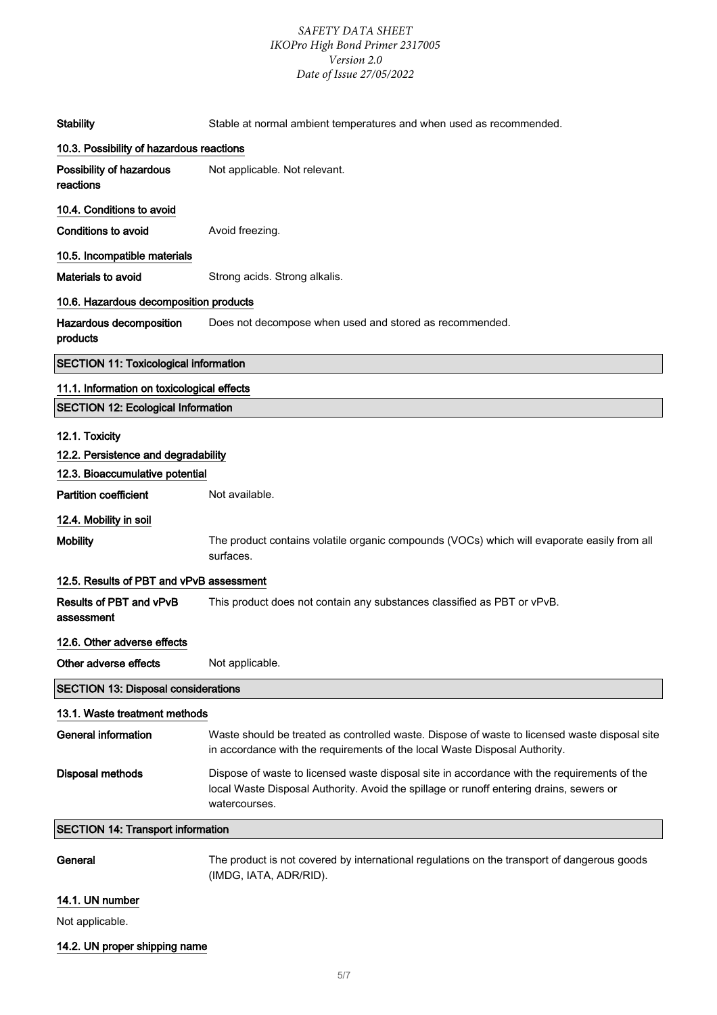### *SAFETY DATA SHEET IKOPro High Bond Primer 2317005 Version 2.0 Date of Issue 27/05/2022*

| <b>Stability</b>                             | Stable at normal ambient temperatures and when used as recommended.                                                                                                                                     |
|----------------------------------------------|---------------------------------------------------------------------------------------------------------------------------------------------------------------------------------------------------------|
| 10.3. Possibility of hazardous reactions     |                                                                                                                                                                                                         |
| Possibility of hazardous<br>reactions        | Not applicable. Not relevant.                                                                                                                                                                           |
| 10.4. Conditions to avoid                    |                                                                                                                                                                                                         |
| Conditions to avoid                          | Avoid freezing.                                                                                                                                                                                         |
| 10.5. Incompatible materials                 |                                                                                                                                                                                                         |
| Materials to avoid                           | Strong acids. Strong alkalis.                                                                                                                                                                           |
| 10.6. Hazardous decomposition products       |                                                                                                                                                                                                         |
| Hazardous decomposition<br>products          | Does not decompose when used and stored as recommended.                                                                                                                                                 |
| <b>SECTION 11: Toxicological information</b> |                                                                                                                                                                                                         |
| 11.1. Information on toxicological effects   |                                                                                                                                                                                                         |
| <b>SECTION 12: Ecological Information</b>    |                                                                                                                                                                                                         |
| 12.1. Toxicity                               |                                                                                                                                                                                                         |
| 12.2. Persistence and degradability          |                                                                                                                                                                                                         |
| 12.3. Bioaccumulative potential              |                                                                                                                                                                                                         |
| <b>Partition coefficient</b>                 | Not available.                                                                                                                                                                                          |
| 12.4. Mobility in soil                       |                                                                                                                                                                                                         |
| <b>Mobility</b>                              | The product contains volatile organic compounds (VOCs) which will evaporate easily from all<br>surfaces.                                                                                                |
| 12.5. Results of PBT and vPvB assessment     |                                                                                                                                                                                                         |
| Results of PBT and vPvB<br>assessment        | This product does not contain any substances classified as PBT or vPvB.                                                                                                                                 |
| 12.6. Other adverse effects                  |                                                                                                                                                                                                         |
| Other adverse effects                        | Not applicable.                                                                                                                                                                                         |
| <b>SECTION 13: Disposal considerations</b>   |                                                                                                                                                                                                         |
| 13.1. Waste treatment methods                |                                                                                                                                                                                                         |
| <b>General information</b>                   | Waste should be treated as controlled waste. Dispose of waste to licensed waste disposal site<br>in accordance with the requirements of the local Waste Disposal Authority.                             |
| <b>Disposal methods</b>                      | Dispose of waste to licensed waste disposal site in accordance with the requirements of the<br>local Waste Disposal Authority. Avoid the spillage or runoff entering drains, sewers or<br>watercourses. |
| <b>SECTION 14: Transport information</b>     |                                                                                                                                                                                                         |
| General                                      | The product is not covered by international regulations on the transport of dangerous goods<br>(IMDG, IATA, ADR/RID).                                                                                   |

## 14.1. UN number

Not applicable.

## 14.2. UN proper shipping name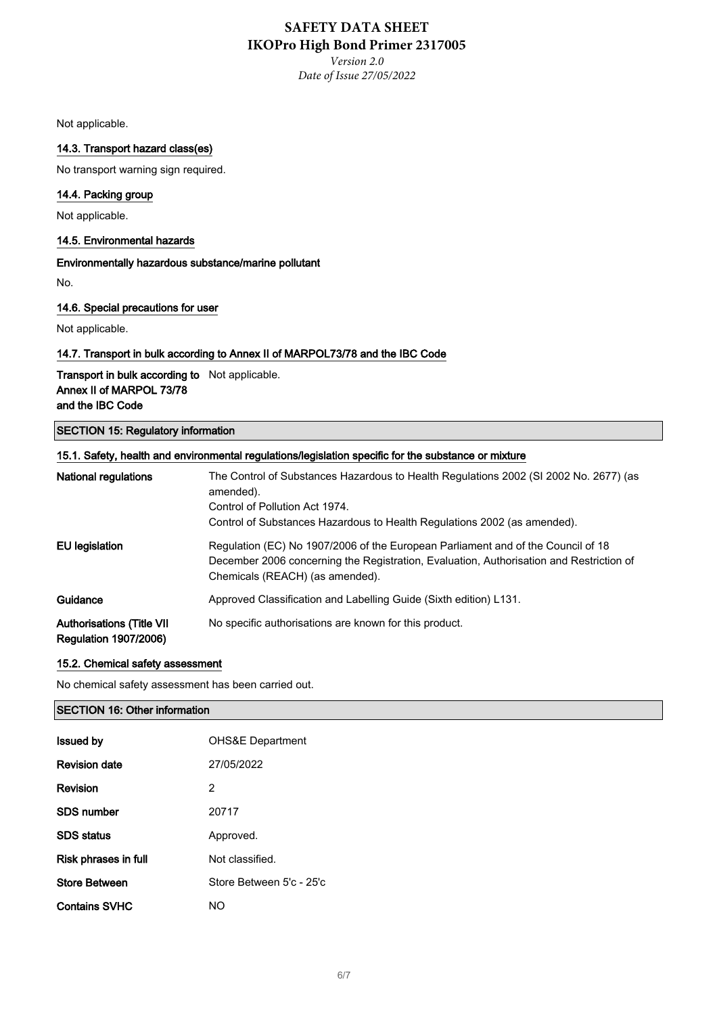*Version 2.0 Date of Issue 27/05/2022*

Not applicable.

### 14.3. Transport hazard class(es)

No transport warning sign required.

### 14.4. Packing group

Not applicable.

#### 14.5. Environmental hazards

Environmentally hazardous substance/marine pollutant

No.

#### 14.6. Special precautions for user

Not applicable.

#### 14.7. Transport in bulk according to Annex II of MARPOL73/78 and the IBC Code

### Transport in bulk according to Not applicable. Annex II of MARPOL 73/78 and the IBC Code

### SECTION 15: Regulatory information

| 15.1. Safety, health and environmental regulations/legislation specific for the substance or mixture |                                                                                                                                                                                                                |
|------------------------------------------------------------------------------------------------------|----------------------------------------------------------------------------------------------------------------------------------------------------------------------------------------------------------------|
| <b>National regulations</b>                                                                          | The Control of Substances Hazardous to Health Regulations 2002 (SI 2002 No. 2677) (as<br>amended).<br>Control of Pollution Act 1974.                                                                           |
|                                                                                                      | Control of Substances Hazardous to Health Regulations 2002 (as amended).                                                                                                                                       |
| EU legislation                                                                                       | Regulation (EC) No 1907/2006 of the European Parliament and of the Council of 18<br>December 2006 concerning the Registration, Evaluation, Authorisation and Restriction of<br>Chemicals (REACH) (as amended). |
| Guidance                                                                                             | Approved Classification and Labelling Guide (Sixth edition) L131.                                                                                                                                              |
| <b>Authorisations (Title VII</b><br><b>Regulation 1907/2006)</b>                                     | No specific authorisations are known for this product.                                                                                                                                                         |

#### 15.2. Chemical safety assessment

No chemical safety assessment has been carried out.

### SECTION 16: Other information

| <b>Issued by</b>     | <b>OHS&amp;E Department</b> |
|----------------------|-----------------------------|
| <b>Revision date</b> | 27/05/2022                  |
| Revision             | 2                           |
| <b>SDS number</b>    | 20717                       |
| <b>SDS</b> status    | Approved.                   |
| Risk phrases in full | Not classified.             |
| <b>Store Between</b> | Store Between 5'c - 25'c    |
| <b>Contains SVHC</b> | NO.                         |